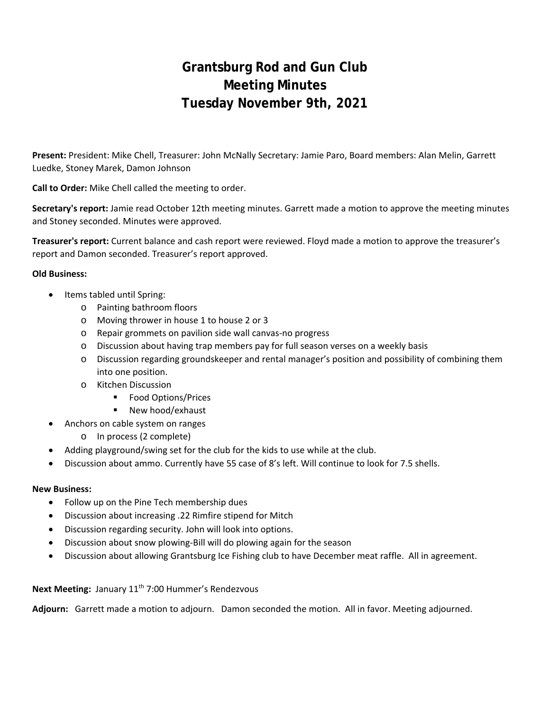# **Grantsburg Rod and Gun Club Meeting Minutes Tuesday November 9th, 2021**

**Present:** President: Mike Chell, Treasurer: John McNally Secretary: Jamie Paro, Board members: Alan Melin, Garrett Luedke, Stoney Marek, Damon Johnson

**Call to Order:** Mike Chell called the meeting to order.

**Secretary's report:** Jamie read October 12th meeting minutes. Garrett made a motion to approve the meeting minutes and Stoney seconded. Minutes were approved.

**Treasurer's report:** Current balance and cash report were reviewed. Floyd made a motion to approve the treasurer's report and Damon seconded. Treasurer's report approved.

### **Old Business:**

- Items tabled until Spring:
	- o Painting bathroom floors
	- o Moving thrower in house 1 to house 2 or 3
	- o Repair grommets on pavilion side wall canvas‐no progress
	- $\circ$  Discussion about having trap members pay for full season verses on a weekly basis
	- o Discussion regarding groundskeeper and rental manager's position and possibility of combining them into one position.
	- o Kitchen Discussion
		- **Food Options/Prices**
		- New hood/exhaust
- Anchors on cable system on ranges
	- o In process (2 complete)
- Adding playground/swing set for the club for the kids to use while at the club.
- Discussion about ammo. Currently have 55 case of 8's left. Will continue to look for 7.5 shells.

### **New Business:**

- Follow up on the Pine Tech membership dues
- Discussion about increasing .22 Rimfire stipend for Mitch
- Discussion regarding security. John will look into options.
- Discussion about snow plowing‐Bill will do plowing again for the season
- Discussion about allowing Grantsburg Ice Fishing club to have December meat raffle. All in agreement.

### Next Meeting: January 11<sup>th</sup> 7:00 Hummer's Rendezvous

**Adjourn:** Garrett made a motion to adjourn. Damon seconded the motion. All in favor. Meeting adjourned.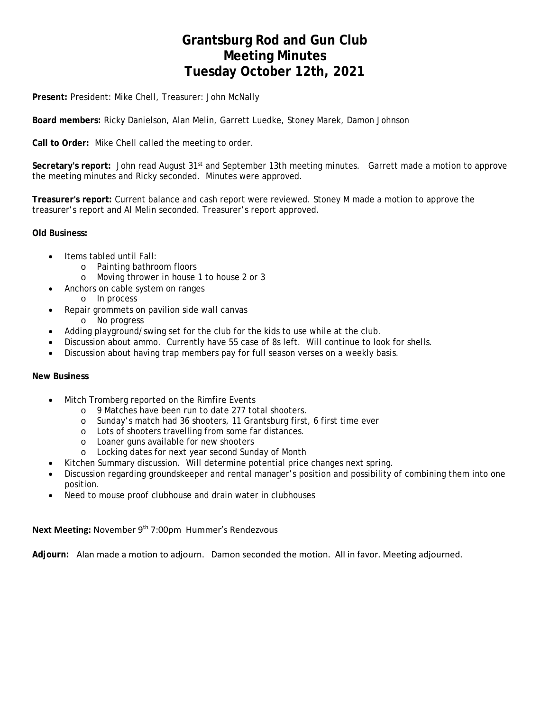## **Grantsburg Rod and Gun Club Meeting Minutes Tuesday October 12th, 2021**

**Present:** President: Mike Chell, Treasurer: John McNally

**Board members:** Ricky Danielson, Alan Melin, Garrett Luedke, Stoney Marek, Damon Johnson

**Call to Order:** Mike Chell called the meeting to order.

**Secretary's report:** John read August 31st and September 13th meeting minutes. Garrett made a motion to approve the meeting minutes and Ricky seconded. Minutes were approved.

**Treasurer's report:** Current balance and cash report were reviewed. Stoney M made a motion to approve the treasurer's report and Al Melin seconded. Treasurer's report approved.

**Old Business:** 

- Items tabled until Fall:
	- o Painting bathroom floors
	- o Moving thrower in house 1 to house 2 or 3
- Anchors on cable system on ranges
	- o In process
- Repair grommets on pavilion side wall canvas
- o No progress
- Adding playground/swing set for the club for the kids to use while at the club.
- Discussion about ammo. Currently have 55 case of 8s left. Will continue to look for shells.
- Discussion about having trap members pay for full season verses on a weekly basis.

#### **New Business**

- Mitch Tromberg reported on the Rimfire Events
	- o 9 Matches have been run to date 277 total shooters.
	- o Sunday's match had 36 shooters, 11 Grantsburg first, 6 first time ever
	- o Lots of shooters travelling from some far distances.
	- o Loaner guns available for new shooters
	- o Locking dates for next year second Sunday of Month
- Kitchen Summary discussion. Will determine potential price changes next spring.
- Discussion regarding groundskeeper and rental manager's position and possibility of combining them into one position.
- Need to mouse proof clubhouse and drain water in clubhouses

Next Meeting: November 9<sup>th</sup> 7:00pm Hummer's Rendezvous

**Adjourn:** Alan made a motion to adjourn. Damon seconded the motion. All in favor. Meeting adjourned.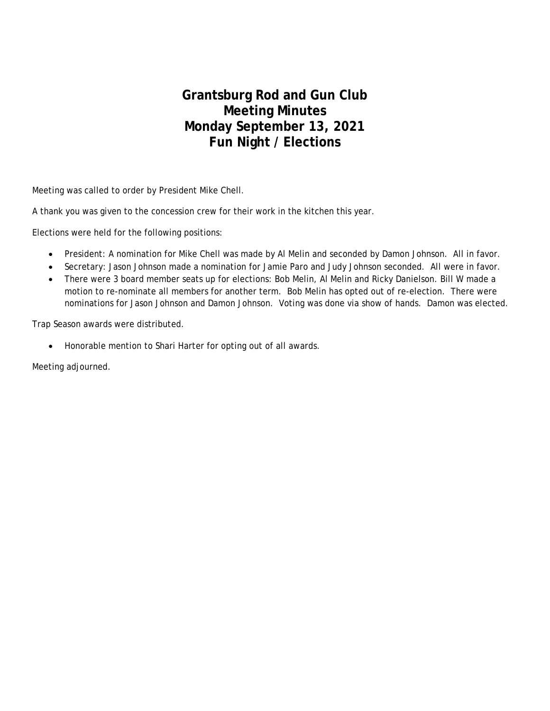## **Grantsburg Rod and Gun Club Meeting Minutes Monday September 13, 2021 Fun Night / Elections**

Meeting was called to order by President Mike Chell.

A thank you was given to the concession crew for their work in the kitchen this year.

Elections were held for the following positions:

- President: A nomination for Mike Chell was made by Al Melin and seconded by Damon Johnson. All in favor.
- Secretary: Jason Johnson made a nomination for Jamie Paro and Judy Johnson seconded. All were in favor.
- There were 3 board member seats up for elections: Bob Melin, Al Melin and Ricky Danielson. Bill W made a motion to re-nominate all members for another term. Bob Melin has opted out of re-election. There were nominations for Jason Johnson and Damon Johnson. Voting was done via show of hands. Damon was elected.

Trap Season awards were distributed.

Honorable mention to Shari Harter for opting out of all awards.

Meeting adjourned.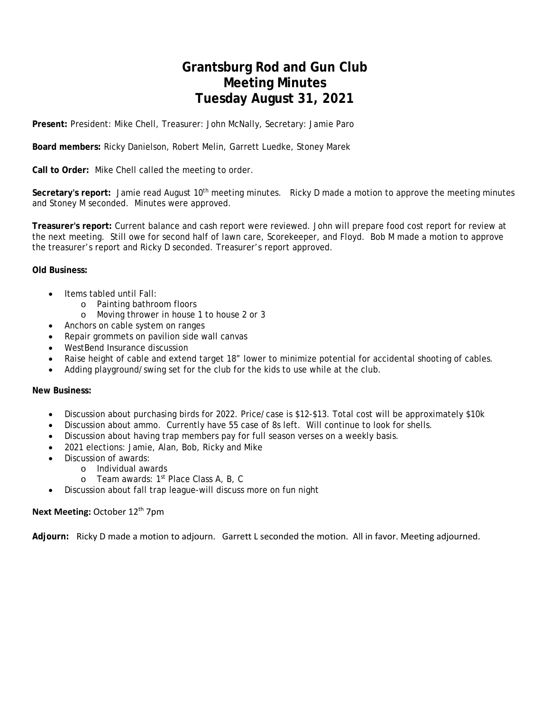## **Grantsburg Rod and Gun Club Meeting Minutes Tuesday August 31, 2021**

**Present:** President: Mike Chell, Treasurer: John McNally, Secretary: Jamie Paro

**Board members:** Ricky Danielson, Robert Melin, Garrett Luedke, Stoney Marek

**Call to Order:** Mike Chell called the meeting to order.

**Secretary's report:** Jamie read August 10th meeting minutes. Ricky D made a motion to approve the meeting minutes and Stoney M seconded. Minutes were approved.

**Treasurer's report:** Current balance and cash report were reviewed. John will prepare food cost report for review at the next meeting. Still owe for second half of lawn care, Scorekeeper, and Floyd. Bob M made a motion to approve the treasurer's report and Ricky D seconded. Treasurer's report approved.

#### **Old Business:**

- Items tabled until Fall:
	- o Painting bathroom floors
	- o Moving thrower in house 1 to house 2 or 3
- Anchors on cable system on ranges
- Repair grommets on pavilion side wall canvas
- WestBend Insurance discussion
- Raise height of cable and extend target 18" lower to minimize potential for accidental shooting of cables.
- Adding playground/swing set for the club for the kids to use while at the club.

#### **New Business:**

- Discussion about purchasing birds for 2022. Price/case is \$12-\$13. Total cost will be approximately \$10k
- Discussion about ammo. Currently have 55 case of 8s left. Will continue to look for shells.
- Discussion about having trap members pay for full season verses on a weekly basis.
- 2021 elections: Jamie, Alan, Bob, Ricky and Mike
- Discussion of awards:
	- o Individual awards
		- o Team awards: 1<sup>st</sup> Place Class A, B, C
- Discussion about fall trap league-will discuss more on fun night

#### **Next Meeting:** October 12<sup>th</sup> 7pm

**Adjourn:**  Ricky D made a motion to adjourn. Garrett L seconded the motion. All in favor. Meeting adjourned.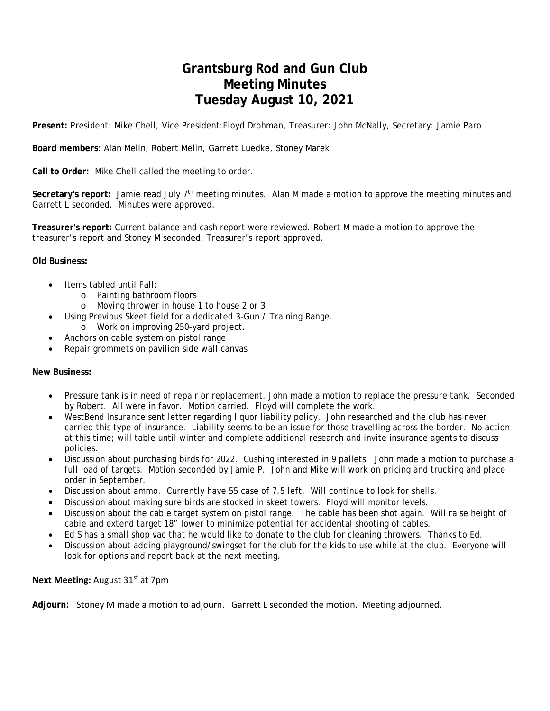## **Grantsburg Rod and Gun Club Meeting Minutes Tuesday August 10, 2021**

**Present:** President: Mike Chell, Vice President:Floyd Drohman, Treasurer: John McNally, Secretary: Jamie Paro

**Board members**: Alan Melin, Robert Melin, Garrett Luedke, Stoney Marek

**Call to Order:** Mike Chell called the meeting to order.

**Secretary's report:** Jamie read July 7th meeting minutes. Alan M made a motion to approve the meeting minutes and Garrett L seconded. Minutes were approved.

**Treasurer's report:** Current balance and cash report were reviewed. Robert M made a motion to approve the treasurer's report and Stoney M seconded. Treasurer's report approved.

### **Old Business:**

- Items tabled until Fall:
	- o Painting bathroom floors
	- o Moving thrower in house 1 to house 2 or 3
- Using Previous Skeet field for a dedicated 3-Gun / Training Range.
	- o Work on improving 250-yard project.
- Anchors on cable system on pistol range
- Repair grommets on pavilion side wall canvas

### **New Business:**

- Pressure tank is in need of repair or replacement. John made a motion to replace the pressure tank. Seconded by Robert. All were in favor. Motion carried. Floyd will complete the work.
- WestBend Insurance sent letter regarding liquor liability policy. John researched and the club has never carried this type of insurance. Liability seems to be an issue for those travelling across the border. No action at this time; will table until winter and complete additional research and invite insurance agents to discuss policies.
- Discussion about purchasing birds for 2022. Cushing interested in 9 pallets. John made a motion to purchase a full load of targets. Motion seconded by Jamie P. John and Mike will work on pricing and trucking and place order in September.
- Discussion about ammo. Currently have 55 case of 7.5 left. Will continue to look for shells.
- Discussion about making sure birds are stocked in skeet towers. Floyd will monitor levels.
- Discussion about the cable target system on pistol range. The cable has been shot again. Will raise height of cable and extend target 18" lower to minimize potential for accidental shooting of cables.
- Ed S has a small shop vac that he would like to donate to the club for cleaning throwers. Thanks to Ed.
- Discussion about adding playground/swingset for the club for the kids to use while at the club. Everyone will look for options and report back at the next meeting.

### **Next Meeting: August 31st at 7pm**

**Adjourn:** Stoney M made a motion to adjourn. Garrett L seconded the motion. Meeting adjourned.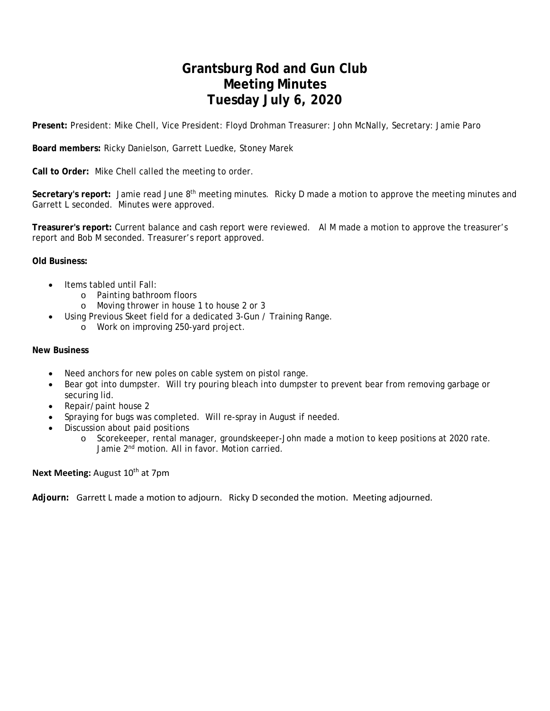## **Grantsburg Rod and Gun Club Meeting Minutes Tuesday July 6, 2020**

**Present:** President: Mike Chell, Vice President: Floyd Drohman Treasurer: John McNally, Secretary: Jamie Paro

**Board members:** Ricky Danielson, Garrett Luedke, Stoney Marek

**Call to Order:** Mike Chell called the meeting to order.

Secretary's report: Jamie read June 8<sup>th</sup> meeting minutes. Ricky D made a motion to approve the meeting minutes and Garrett L seconded. Minutes were approved.

**Treasurer's report:** Current balance and cash report were reviewed. Al M made a motion to approve the treasurer's report and Bob M seconded. Treasurer's report approved.

#### **Old Business:**

- Items tabled until Fall:
	- o Painting bathroom floors
	- o Moving thrower in house 1 to house 2 or 3
- Using Previous Skeet field for a dedicated 3-Gun / Training Range.
	- o Work on improving 250-yard project.

#### **New Business**

- Need anchors for new poles on cable system on pistol range.
- Bear got into dumpster. Will try pouring bleach into dumpster to prevent bear from removing garbage or securing lid.
- Repair/paint house 2
- Spraying for bugs was completed. Will re-spray in August if needed.
- Discussion about paid positions
	- o Scorekeeper, rental manager, groundskeeper-John made a motion to keep positions at 2020 rate. Jamie 2nd motion. All in favor. Motion carried.

#### **Next Meeting: August 10<sup>th</sup> at 7pm**

**Adjourn:** Garrett L made a motion to adjourn. Ricky D seconded the motion. Meeting adjourned.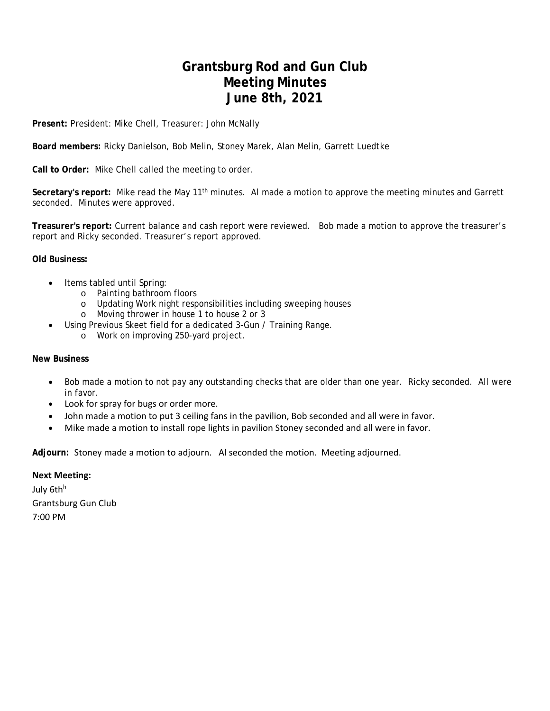### **Grantsburg Rod and Gun Club Meeting Minutes June 8th, 2021**

**Present:** President: Mike Chell, Treasurer: John McNally

**Board members:** Ricky Danielson, Bob Melin, Stoney Marek, Alan Melin, Garrett Luedtke

**Call to Order:** Mike Chell called the meeting to order.

**Secretary's report:** Mike read the May 11th minutes. Al made a motion to approve the meeting minutes and Garrett seconded. Minutes were approved.

**Treasurer's report:** Current balance and cash report were reviewed. Bob made a motion to approve the treasurer's report and Ricky seconded. Treasurer's report approved.

#### **Old Business:**

- Items tabled until Spring:
	- o Painting bathroom floors
	- o Updating Work night responsibilities including sweeping houses
	- o Moving thrower in house 1 to house 2 or 3
	- Using Previous Skeet field for a dedicated 3-Gun / Training Range.
		- o Work on improving 250-yard project.

#### **New Business**

- Bob made a motion to not pay any outstanding checks that are older than one year. Ricky seconded. All were in favor.
- Look for spray for bugs or order more.
- John made a motion to put 3 ceiling fans in the pavilion, Bob seconded and all were in favor.
- Mike made a motion to install rope lights in pavilion Stoney seconded and all were in favor.

**Adjourn:** Stoney made a motion to adjourn. Al seconded the motion. Meeting adjourned.

#### **Next Meeting:**

July 6th<sup>h</sup> Grantsburg Gun Club 7:00 PM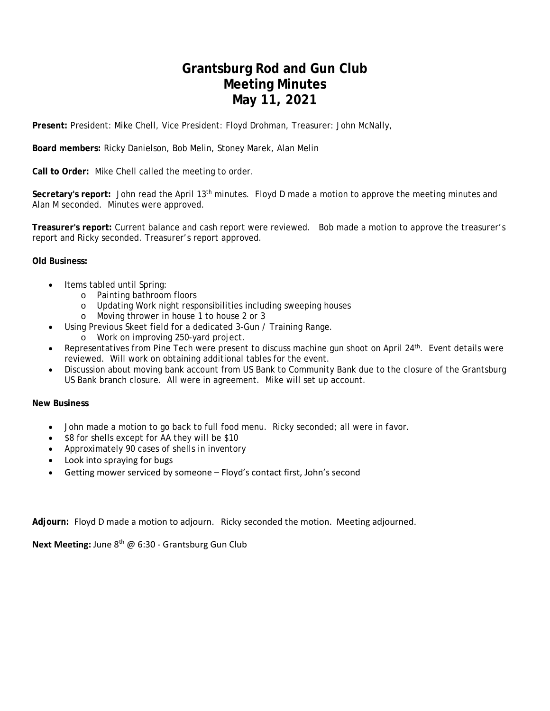## **Grantsburg Rod and Gun Club Meeting Minutes May 11, 2021**

**Present:** President: Mike Chell, Vice President: Floyd Drohman, Treasurer: John McNally,

**Board members:** Ricky Danielson, Bob Melin, Stoney Marek, Alan Melin

**Call to Order:** Mike Chell called the meeting to order.

**Secretary's report:** John read the April 13th minutes. Floyd D made a motion to approve the meeting minutes and Alan M seconded. Minutes were approved.

**Treasurer's report:** Current balance and cash report were reviewed. Bob made a motion to approve the treasurer's report and Ricky seconded. Treasurer's report approved.

#### **Old Business:**

- Items tabled until Spring:
	- o Painting bathroom floors
	- o Updating Work night responsibilities including sweeping houses
	- o Moving thrower in house 1 to house 2 or 3
	- Using Previous Skeet field for a dedicated 3-Gun / Training Range.
		- o Work on improving 250-yard project.
- Representatives from Pine Tech were present to discuss machine gun shoot on April 24<sup>th</sup>. Event details were reviewed. Will work on obtaining additional tables for the event.
- Discussion about moving bank account from US Bank to Community Bank due to the closure of the Grantsburg US Bank branch closure. All were in agreement. Mike will set up account.

#### **New Business**

- John made a motion to go back to full food menu. Ricky seconded; all were in favor.
- \$8 for shells except for AA they will be \$10
- Approximately 90 cases of shells in inventory
- Look into spraying for bugs
- Getting mower serviced by someone Floyd's contact first, John's second

**Adjourn:** Floyd D made a motion to adjourn. Ricky seconded the motion. Meeting adjourned.

**Next Meeting:** June 8th @ 6:30 ‐ Grantsburg Gun Club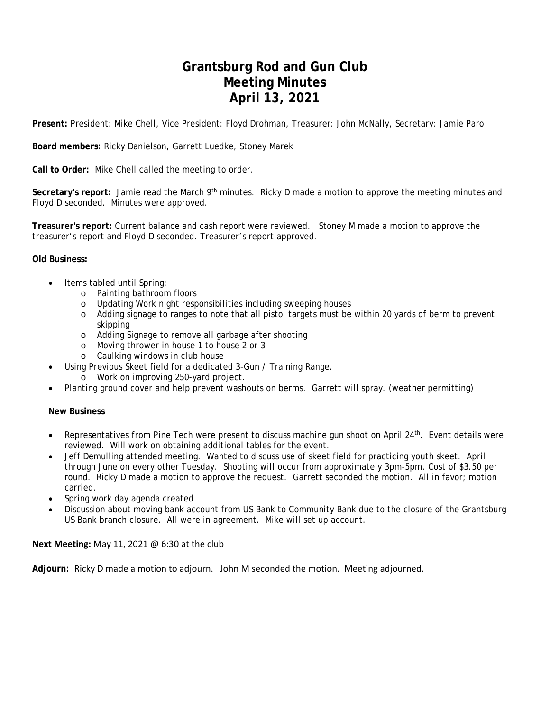## **Grantsburg Rod and Gun Club Meeting Minutes April 13, 2021**

**Present:** President: Mike Chell, Vice President: Floyd Drohman, Treasurer: John McNally, Secretary: Jamie Paro

**Board members:** Ricky Danielson, Garrett Luedke, Stoney Marek

**Call to Order:** Mike Chell called the meeting to order.

**Secretary's report:** Jamie read the March 9th minutes. Ricky D made a motion to approve the meeting minutes and Floyd D seconded. Minutes were approved.

**Treasurer's report:** Current balance and cash report were reviewed. Stoney M made a motion to approve the treasurer's report and Floyd D seconded. Treasurer's report approved.

### **Old Business:**

- Items tabled until Spring:
	- o Painting bathroom floors
	- o Updating Work night responsibilities including sweeping houses
	- o Adding signage to ranges to note that all pistol targets must be within 20 yards of berm to prevent skipping
	- o Adding Signage to remove all garbage after shooting
	- o Moving thrower in house 1 to house 2 or 3
	- o Caulking windows in club house
	- Using Previous Skeet field for a dedicated 3-Gun / Training Range.
		- o Work on improving 250-yard project.
- Planting ground cover and help prevent washouts on berms. Garrett will spray. (weather permitting)

### **New Business**

- Representatives from Pine Tech were present to discuss machine gun shoot on April 24th. Event details were reviewed. Will work on obtaining additional tables for the event.
- Jeff Demulling attended meeting. Wanted to discuss use of skeet field for practicing youth skeet. April through June on every other Tuesday. Shooting will occur from approximately 3pm-5pm. Cost of \$3.50 per round. Ricky D made a motion to approve the request. Garrett seconded the motion. All in favor; motion carried.
- Spring work day agenda created
- Discussion about moving bank account from US Bank to Community Bank due to the closure of the Grantsburg US Bank branch closure. All were in agreement. Mike will set up account.

### **Next Meeting:** May 11, 2021 @ 6:30 at the club

**Adjourn:** Ricky D made a motion to adjourn. John M seconded the motion. Meeting adjourned.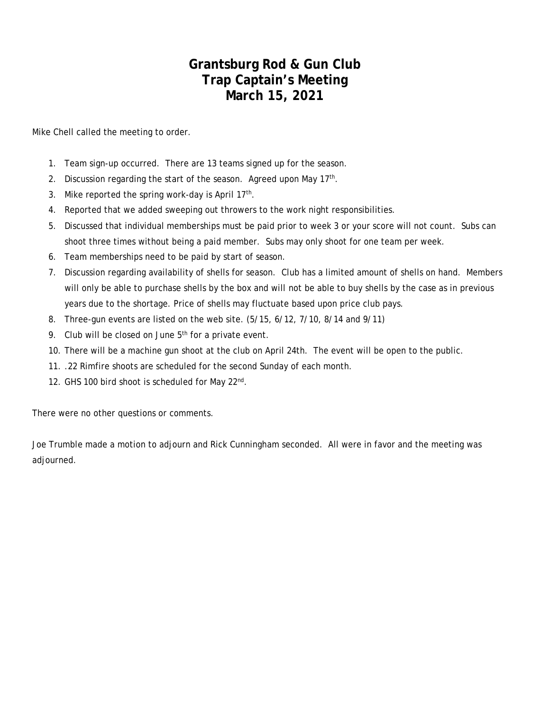### **Grantsburg Rod & Gun Club Trap Captain's Meeting March 15, 2021**

Mike Chell called the meeting to order.

- 1. Team sign-up occurred. There are 13 teams signed up for the season.
- 2. Discussion regarding the start of the season. Agreed upon May  $17<sup>th</sup>$ .
- 3. Mike reported the spring work-day is April  $17<sup>th</sup>$ .
- 4. Reported that we added sweeping out throwers to the work night responsibilities.
- 5. Discussed that individual memberships must be paid prior to week 3 or your score will not count. Subs can shoot three times without being a paid member. Subs may only shoot for one team per week.
- 6. Team memberships need to be paid by start of season.
- 7. Discussion regarding availability of shells for season. Club has a limited amount of shells on hand. Members will only be able to purchase shells by the box and will not be able to buy shells by the case as in previous years due to the shortage. Price of shells may fluctuate based upon price club pays.
- 8. Three-gun events are listed on the web site. (5/15, 6/12, 7/10, 8/14 and 9/11)
- 9. Club will be closed on June  $5<sup>th</sup>$  for a private event.
- 10. There will be a machine gun shoot at the club on April 24th. The event will be open to the public.
- 11. .22 Rimfire shoots are scheduled for the second Sunday of each month.
- 12. GHS 100 bird shoot is scheduled for May 22<sup>nd</sup>.

There were no other questions or comments.

Joe Trumble made a motion to adjourn and Rick Cunningham seconded. All were in favor and the meeting was adjourned.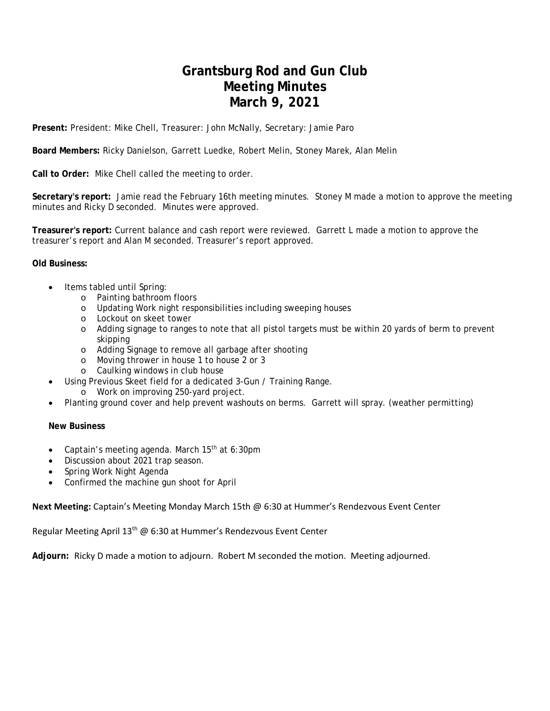## **Grantsburg Rod and Gun Club Meeting Minutes March 9, 2021**

**Present:** President: Mike Chell, Treasurer: John McNally, Secretary: Jamie Paro

**Board Members:** Ricky Danielson, Garrett Luedke, Robert Melin, Stoney Marek, Alan Melin

**Call to Order:** Mike Chell called the meeting to order.

**Secretary's report:** Jamie read the February 16th meeting minutes. Stoney M made a motion to approve the meeting minutes and Ricky D seconded. Minutes were approved.

**Treasurer's report:** Current balance and cash report were reviewed. Garrett L made a motion to approve the treasurer's report and Alan M seconded. Treasurer's report approved.

#### **Old Business:**

- Items tabled until Spring:
	- o Painting bathroom floors
	- o Updating Work night responsibilities including sweeping houses
	- o Lockout on skeet tower
	- o Adding signage to ranges to note that all pistol targets must be within 20 yards of berm to prevent skipping
	- o Adding Signage to remove all garbage after shooting
	- o Moving thrower in house 1 to house 2 or 3
	- o Caulking windows in club house
	- Using Previous Skeet field for a dedicated 3-Gun / Training Range.
		- o Work on improving 250-yard project.
- Planting ground cover and help prevent washouts on berms. Garrett will spray. (weather permitting)

#### **New Business**

- Captain's meeting agenda. March 15<sup>th</sup> at 6:30pm
- Discussion about 2021 trap season.
- Spring Work Night Agenda
- Confirmed the machine gun shoot for April

**Next Meeting:** Captain's Meeting Monday March 15th @ 6:30 at Hummer's Rendezvous Event Center

Regular Meeting April 13<sup>th</sup> @ 6:30 at Hummer's Rendezvous Event Center

**Adjourn:** Ricky D made a motion to adjourn. Robert M seconded the motion. Meeting adjourned.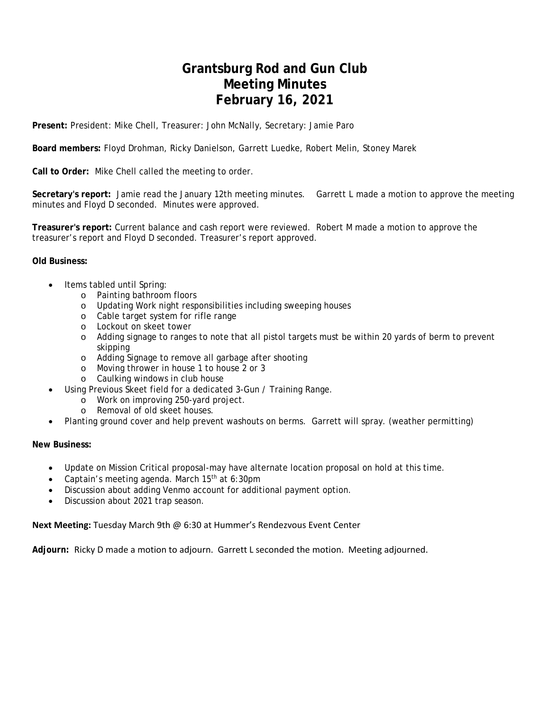## **Grantsburg Rod and Gun Club Meeting Minutes February 16, 2021**

**Present:** President: Mike Chell, Treasurer: John McNally, Secretary: Jamie Paro

**Board members:** Floyd Drohman, Ricky Danielson, Garrett Luedke, Robert Melin, Stoney Marek

**Call to Order:** Mike Chell called the meeting to order.

**Secretary's report:** Jamie read the January 12th meeting minutes. Garrett L made a motion to approve the meeting minutes and Floyd D seconded. Minutes were approved.

**Treasurer's report:** Current balance and cash report were reviewed. Robert M made a motion to approve the treasurer's report and Floyd D seconded. Treasurer's report approved.

#### **Old Business:**

- Items tabled until Spring:
	- o Painting bathroom floors
	- o Updating Work night responsibilities including sweeping houses
	- o Cable target system for rifle range
	- o Lockout on skeet tower
	- o Adding signage to ranges to note that all pistol targets must be within 20 yards of berm to prevent skipping
	- o Adding Signage to remove all garbage after shooting
	- o Moving thrower in house 1 to house 2 or 3
	- o Caulking windows in club house
- Using Previous Skeet field for a dedicated 3-Gun / Training Range.
	- o Work on improving 250-yard project.
	- o Removal of old skeet houses.
- Planting ground cover and help prevent washouts on berms. Garrett will spray. (weather permitting)

**New Business:** 

- Update on Mission Critical proposal-may have alternate location proposal on hold at this time.
- Captain's meeting agenda. March 15<sup>th</sup> at 6:30pm
- Discussion about adding Venmo account for additional payment option.
- Discussion about 2021 trap season.

**Next Meeting:** Tuesday March 9th @ 6:30 at Hummer's Rendezvous Event Center

**Adjourn:** Ricky D made a motion to adjourn. Garrett L seconded the motion. Meeting adjourned.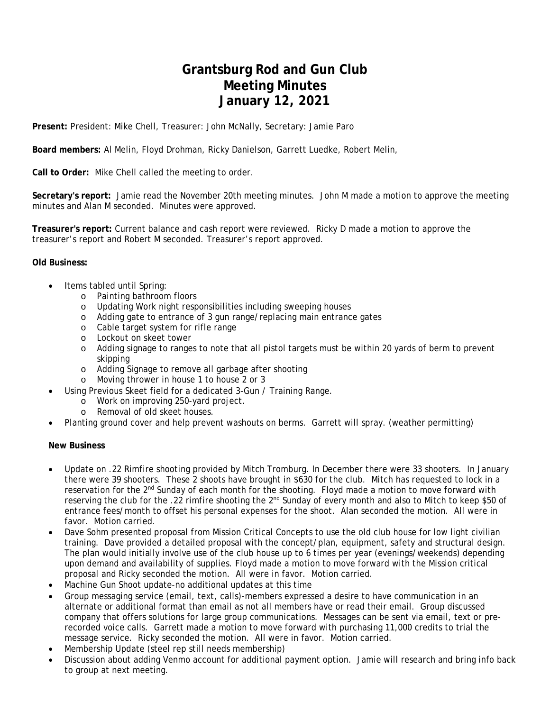## **Grantsburg Rod and Gun Club Meeting Minutes January 12, 2021**

**Present:** President: Mike Chell, Treasurer: John McNally, Secretary: Jamie Paro

**Board members:** Al Melin, Floyd Drohman, Ricky Danielson, Garrett Luedke, Robert Melin,

**Call to Order:** Mike Chell called the meeting to order.

**Secretary's report:** Jamie read the November 20th meeting minutes. John M made a motion to approve the meeting minutes and Alan M seconded. Minutes were approved.

**Treasurer's report:** Current balance and cash report were reviewed. Ricky D made a motion to approve the treasurer's report and Robert M seconded. Treasurer's report approved.

#### **Old Business:**

- Items tabled until Spring:
	- o Painting bathroom floors
	- o Updating Work night responsibilities including sweeping houses
	- o Adding gate to entrance of 3 gun range/replacing main entrance gates
	- o Cable target system for rifle range
	- o Lockout on skeet tower
	- o Adding signage to ranges to note that all pistol targets must be within 20 yards of berm to prevent skipping
	- o Adding Signage to remove all garbage after shooting
	- o Moving thrower in house 1 to house 2 or 3
- Using Previous Skeet field for a dedicated 3-Gun / Training Range.
	- o Work on improving 250-yard project.
	- o Removal of old skeet houses.
- Planting ground cover and help prevent washouts on berms. Garrett will spray. (weather permitting)

#### **New Business**

- Update on .22 Rimfire shooting provided by Mitch Tromburg. In December there were 33 shooters. In January there were 39 shooters. These 2 shoots have brought in \$630 for the club. Mitch has requested to lock in a reservation for the 2<sup>nd</sup> Sunday of each month for the shooting. Floyd made a motion to move forward with reserving the club for the .22 rimfire shooting the 2nd Sunday of every month and also to Mitch to keep \$50 of entrance fees/month to offset his personal expenses for the shoot. Alan seconded the motion. All were in favor. Motion carried.
- Dave Sohm presented proposal from Mission Critical Concepts to use the old club house for low light civilian training. Dave provided a detailed proposal with the concept/plan, equipment, safety and structural design. The plan would initially involve use of the club house up to 6 times per year (evenings/weekends) depending upon demand and availability of supplies. Floyd made a motion to move forward with the Mission critical proposal and Ricky seconded the motion. All were in favor. Motion carried.
- Machine Gun Shoot update-no additional updates at this time
- Group messaging service (email, text, calls)-members expressed a desire to have communication in an alternate or additional format than email as not all members have or read their email. Group discussed company that offers solutions for large group communications. Messages can be sent via email, text or prerecorded voice calls. Garrett made a motion to move forward with purchasing 11,000 credits to trial the message service. Ricky seconded the motion. All were in favor. Motion carried.
- Membership Update (steel rep still needs membership)
- Discussion about adding Venmo account for additional payment option. Jamie will research and bring info back to group at next meeting.